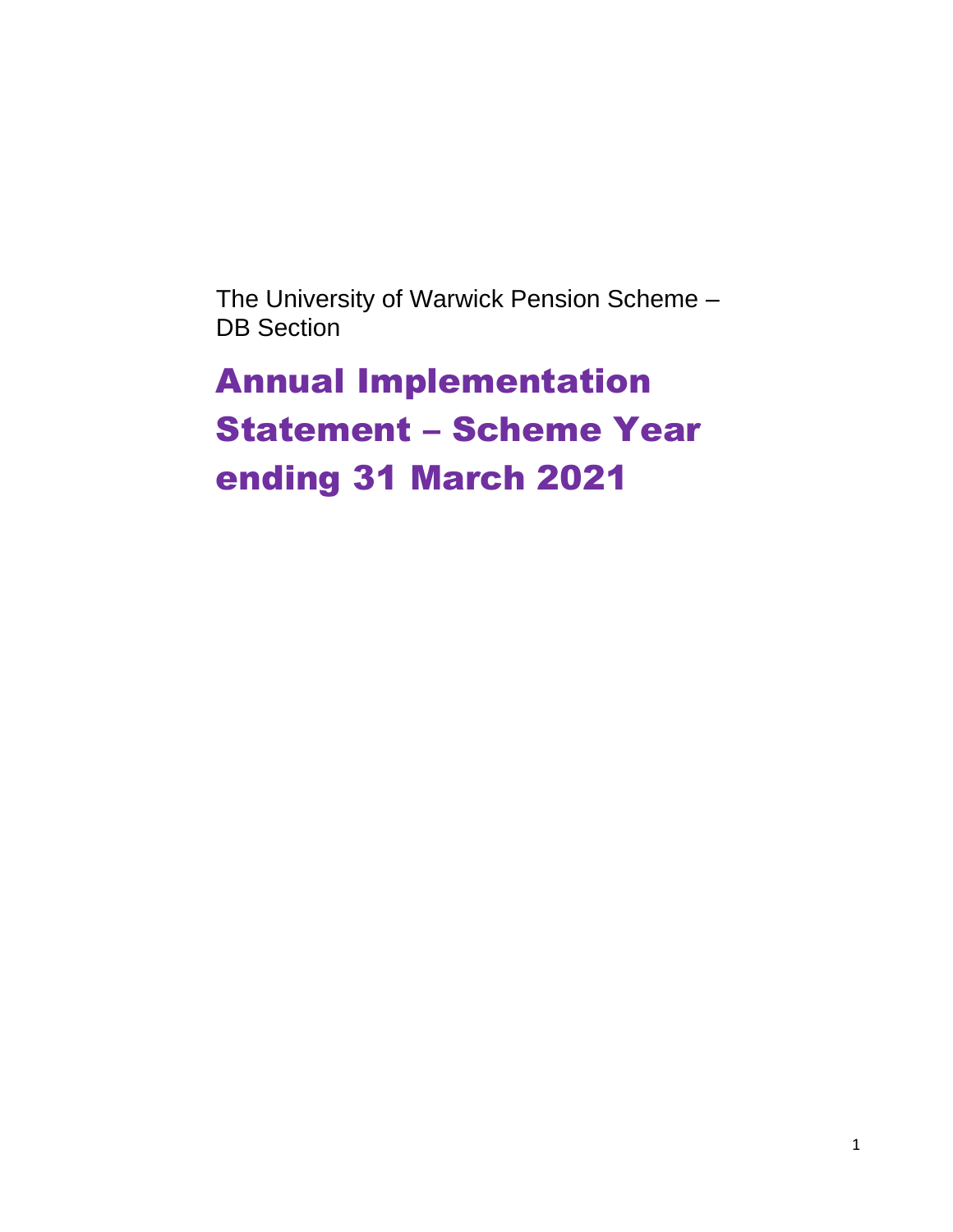The University of Warwick Pension Scheme – DB Section

Annual Implementation Statement – Scheme Year ending 31 March 2021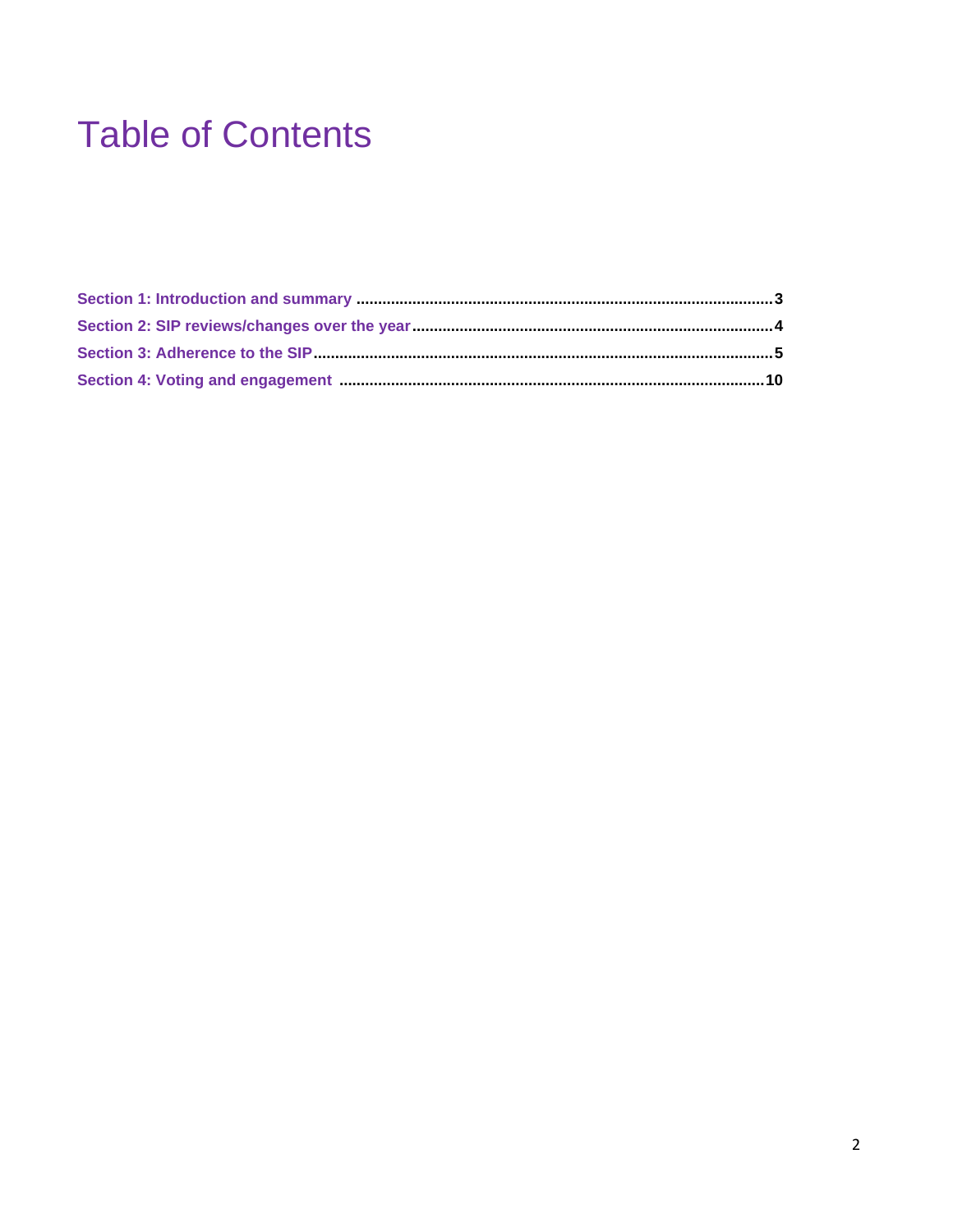## **Table of Contents**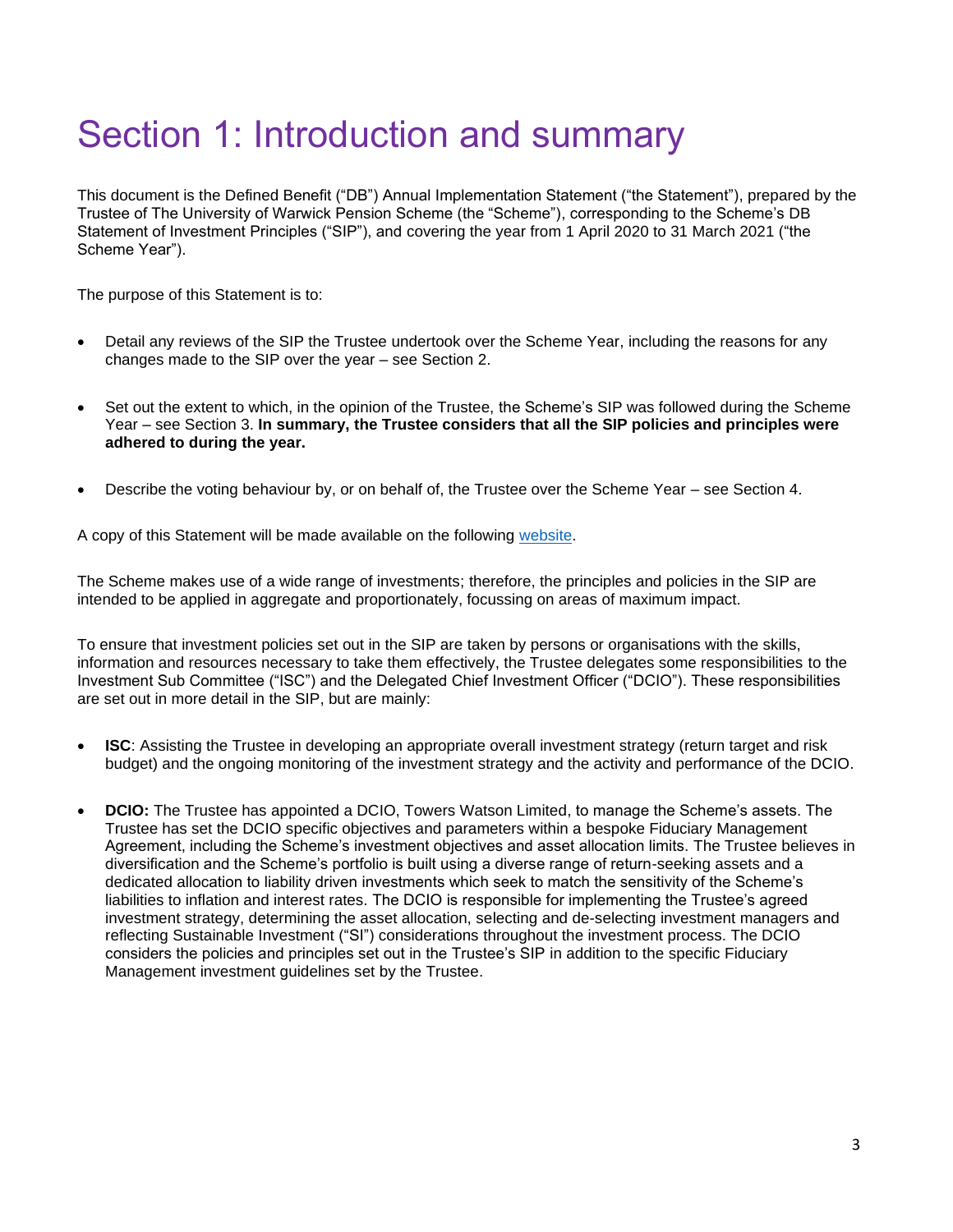## Section 1: Introduction and summary

This document is the Defined Benefit ("DB") Annual Implementation Statement ("the Statement"), prepared by the Trustee of The University of Warwick Pension Scheme (the "Scheme"), corresponding to the Scheme's DB Statement of Investment Principles ("SIP"), and covering the year from 1 April 2020 to 31 March 2021 ("the Scheme Year").

The purpose of this Statement is to:

- Detail any reviews of the SIP the Trustee undertook over the Scheme Year, including the reasons for any changes made to the SIP over the year – see Section 2.
- Set out the extent to which, in the opinion of the Trustee, the Scheme's SIP was followed during the Scheme Year – see Section 3. **In summary, the Trustee considers that all the SIP policies and principles were adhered to during the year.**
- Describe the voting behaviour by, or on behalf of, the Trustee over the Scheme Year see Section 4.

A copy of this Statement will be made available on the following [website.](https://warwick.ac.uk/services/humanresources/internal/rewardandbenefits/corebenefits/pensions/ups)

The Scheme makes use of a wide range of investments; therefore, the principles and policies in the SIP are intended to be applied in aggregate and proportionately, focussing on areas of maximum impact.

To ensure that investment policies set out in the SIP are taken by persons or organisations with the skills, information and resources necessary to take them effectively, the Trustee delegates some responsibilities to the Investment Sub Committee ("ISC") and the Delegated Chief Investment Officer ("DCIO"). These responsibilities are set out in more detail in the SIP, but are mainly:

- **ISC**: Assisting the Trustee in developing an appropriate overall investment strategy (return target and risk budget) and the ongoing monitoring of the investment strategy and the activity and performance of the DCIO.
- **DCIO:** The Trustee has appointed a DCIO, Towers Watson Limited, to manage the Scheme's assets. The Trustee has set the DCIO specific objectives and parameters within a bespoke Fiduciary Management Agreement, including the Scheme's investment objectives and asset allocation limits. The Trustee believes in diversification and the Scheme's portfolio is built using a diverse range of return-seeking assets and a dedicated allocation to liability driven investments which seek to match the sensitivity of the Scheme's liabilities to inflation and interest rates. The DCIO is responsible for implementing the Trustee's agreed investment strategy, determining the asset allocation, selecting and de-selecting investment managers and reflecting Sustainable Investment ("SI") considerations throughout the investment process. The DCIO considers the policies and principles set out in the Trustee's SIP in addition to the specific Fiduciary Management investment guidelines set by the Trustee.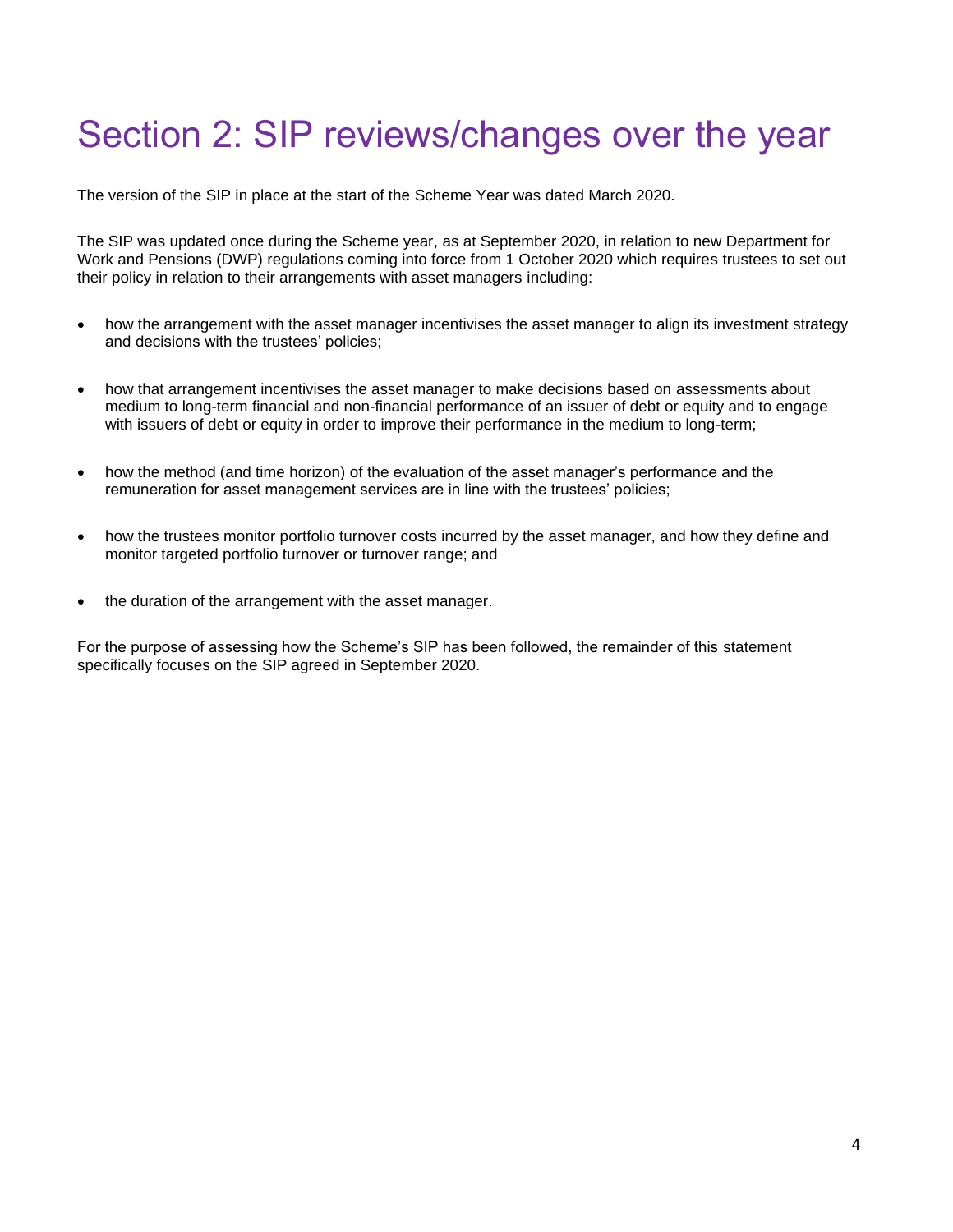## Section 2: SIP reviews/changes over the year

The version of the SIP in place at the start of the Scheme Year was dated March 2020.

The SIP was updated once during the Scheme year, as at September 2020, in relation to new Department for Work and Pensions (DWP) regulations coming into force from 1 October 2020 which requires trustees to set out their policy in relation to their arrangements with asset managers including:

- how the arrangement with the asset manager incentivises the asset manager to align its investment strategy and decisions with the trustees' policies;
- how that arrangement incentivises the asset manager to make decisions based on assessments about medium to long-term financial and non-financial performance of an issuer of debt or equity and to engage with issuers of debt or equity in order to improve their performance in the medium to long-term;
- how the method (and time horizon) of the evaluation of the asset manager's performance and the remuneration for asset management services are in line with the trustees' policies;
- how the trustees monitor portfolio turnover costs incurred by the asset manager, and how they define and monitor targeted portfolio turnover or turnover range; and
- the duration of the arrangement with the asset manager.

For the purpose of assessing how the Scheme's SIP has been followed, the remainder of this statement specifically focuses on the SIP agreed in September 2020.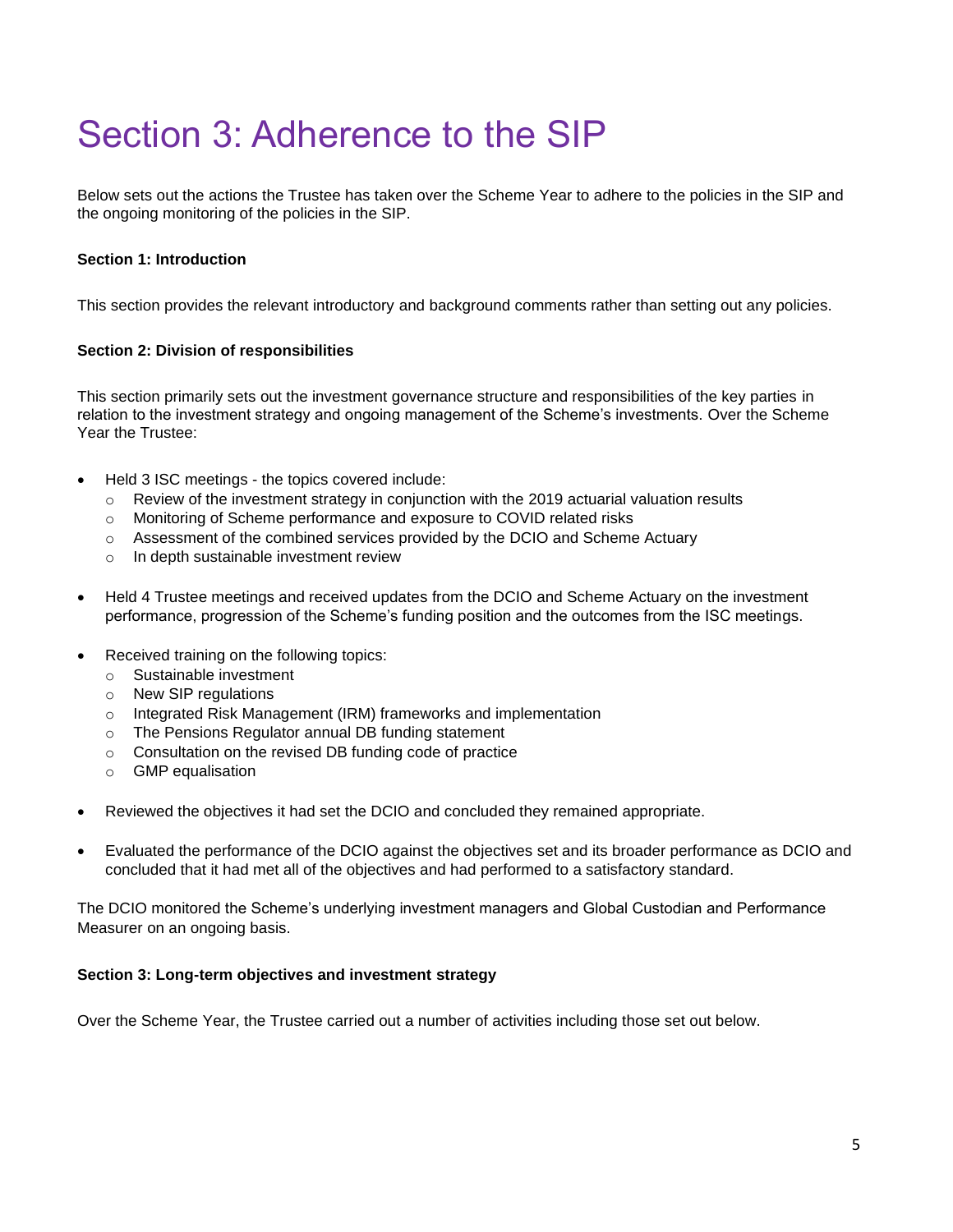## Section 3: Adherence to the SIP

Below sets out the actions the Trustee has taken over the Scheme Year to adhere to the policies in the SIP and the ongoing monitoring of the policies in the SIP.

### **Section 1: Introduction**

This section provides the relevant introductory and background comments rather than setting out any policies.

#### **Section 2: Division of responsibilities**

This section primarily sets out the investment governance structure and responsibilities of the key parties in relation to the investment strategy and ongoing management of the Scheme's investments. Over the Scheme Year the Trustee:

- Held 3 ISC meetings the topics covered include:
	- $\circ$  Review of the investment strategy in conjunction with the 2019 actuarial valuation results
	- o Monitoring of Scheme performance and exposure to COVID related risks
	- $\circ$  Assessment of the combined services provided by the DCIO and Scheme Actuary
	- o In depth sustainable investment review
- Held 4 Trustee meetings and received updates from the DCIO and Scheme Actuary on the investment performance, progression of the Scheme's funding position and the outcomes from the ISC meetings.
- Received training on the following topics:
	- o Sustainable investment
	- o New SIP regulations
	- o Integrated Risk Management (IRM) frameworks and implementation
	- o The Pensions Regulator annual DB funding statement
	- o Consultation on the revised DB funding code of practice
	- o GMP equalisation
- Reviewed the objectives it had set the DCIO and concluded they remained appropriate.
- Evaluated the performance of the DCIO against the objectives set and its broader performance as DCIO and concluded that it had met all of the objectives and had performed to a satisfactory standard.

The DCIO monitored the Scheme's underlying investment managers and Global Custodian and Performance Measurer on an ongoing basis.

#### **Section 3: Long-term objectives and investment strategy**

Over the Scheme Year, the Trustee carried out a number of activities including those set out below.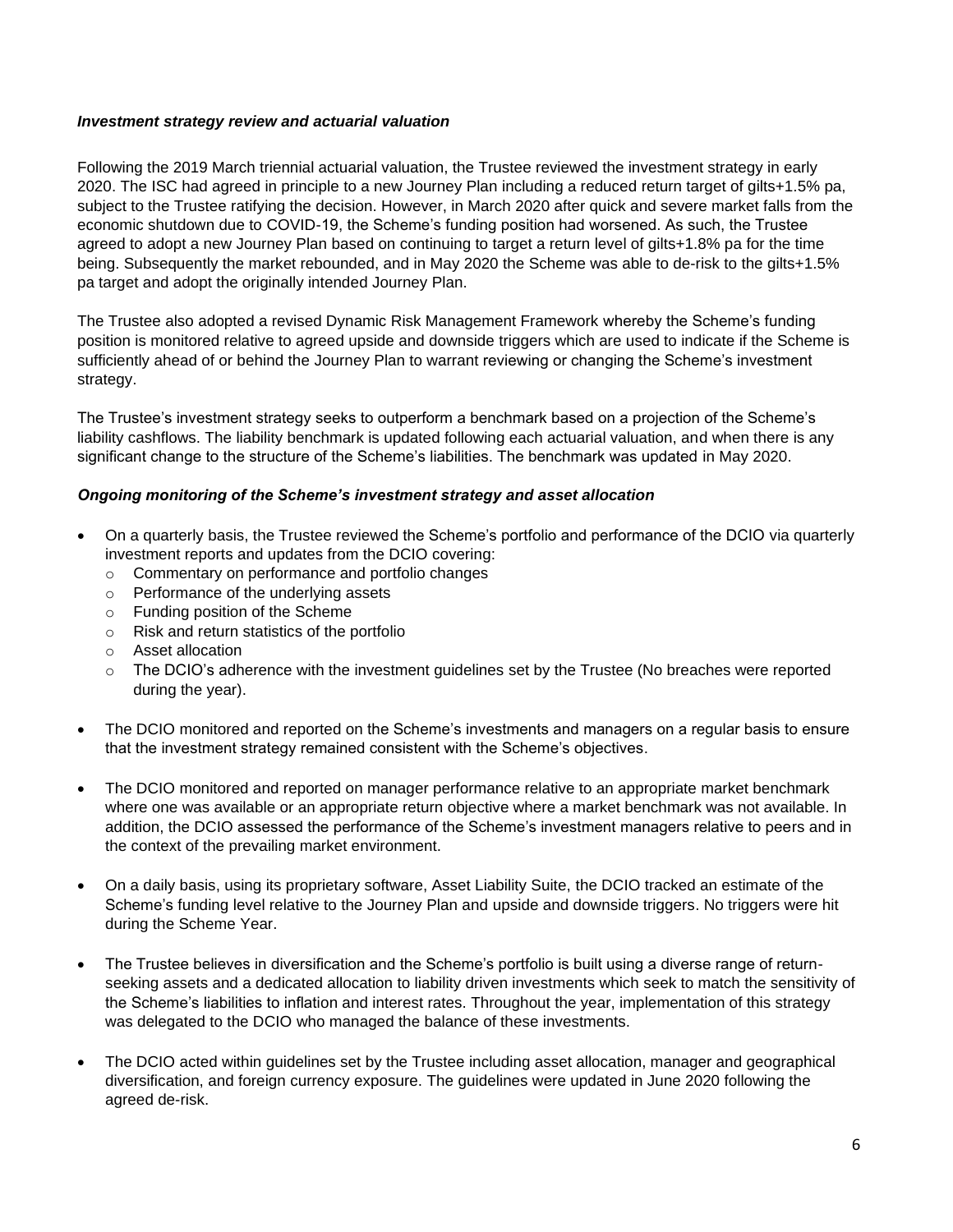#### *Investment strategy review and actuarial valuation*

Following the 2019 March triennial actuarial valuation, the Trustee reviewed the investment strategy in early 2020. The ISC had agreed in principle to a new Journey Plan including a reduced return target of gilts+1.5% pa, subject to the Trustee ratifying the decision. However, in March 2020 after quick and severe market falls from the economic shutdown due to COVID-19, the Scheme's funding position had worsened. As such, the Trustee agreed to adopt a new Journey Plan based on continuing to target a return level of gilts+1.8% pa for the time being. Subsequently the market rebounded, and in May 2020 the Scheme was able to de-risk to the gilts+1.5% pa target and adopt the originally intended Journey Plan.

The Trustee also adopted a revised Dynamic Risk Management Framework whereby the Scheme's funding position is monitored relative to agreed upside and downside triggers which are used to indicate if the Scheme is sufficiently ahead of or behind the Journey Plan to warrant reviewing or changing the Scheme's investment strategy.

The Trustee's investment strategy seeks to outperform a benchmark based on a projection of the Scheme's liability cashflows. The liability benchmark is updated following each actuarial valuation, and when there is any significant change to the structure of the Scheme's liabilities. The benchmark was updated in May 2020.

#### *Ongoing monitoring of the Scheme's investment strategy and asset allocation*

- On a quarterly basis, the Trustee reviewed the Scheme's portfolio and performance of the DCIO via quarterly investment reports and updates from the DCIO covering:
	- o Commentary on performance and portfolio changes
	- o Performance of the underlying assets
	- o Funding position of the Scheme
	- o Risk and return statistics of the portfolio
	- o Asset allocation
	- $\circ$  The DCIO's adherence with the investment guidelines set by the Trustee (No breaches were reported during the year).
- The DCIO monitored and reported on the Scheme's investments and managers on a regular basis to ensure that the investment strategy remained consistent with the Scheme's objectives.
- The DCIO monitored and reported on manager performance relative to an appropriate market benchmark where one was available or an appropriate return objective where a market benchmark was not available. In addition, the DCIO assessed the performance of the Scheme's investment managers relative to peers and in the context of the prevailing market environment.
- On a daily basis, using its proprietary software, Asset Liability Suite, the DCIO tracked an estimate of the Scheme's funding level relative to the Journey Plan and upside and downside triggers. No triggers were hit during the Scheme Year.
- The Trustee believes in diversification and the Scheme's portfolio is built using a diverse range of returnseeking assets and a dedicated allocation to liability driven investments which seek to match the sensitivity of the Scheme's liabilities to inflation and interest rates. Throughout the year, implementation of this strategy was delegated to the DCIO who managed the balance of these investments.
- The DCIO acted within guidelines set by the Trustee including asset allocation, manager and geographical diversification, and foreign currency exposure. The guidelines were updated in June 2020 following the agreed de-risk.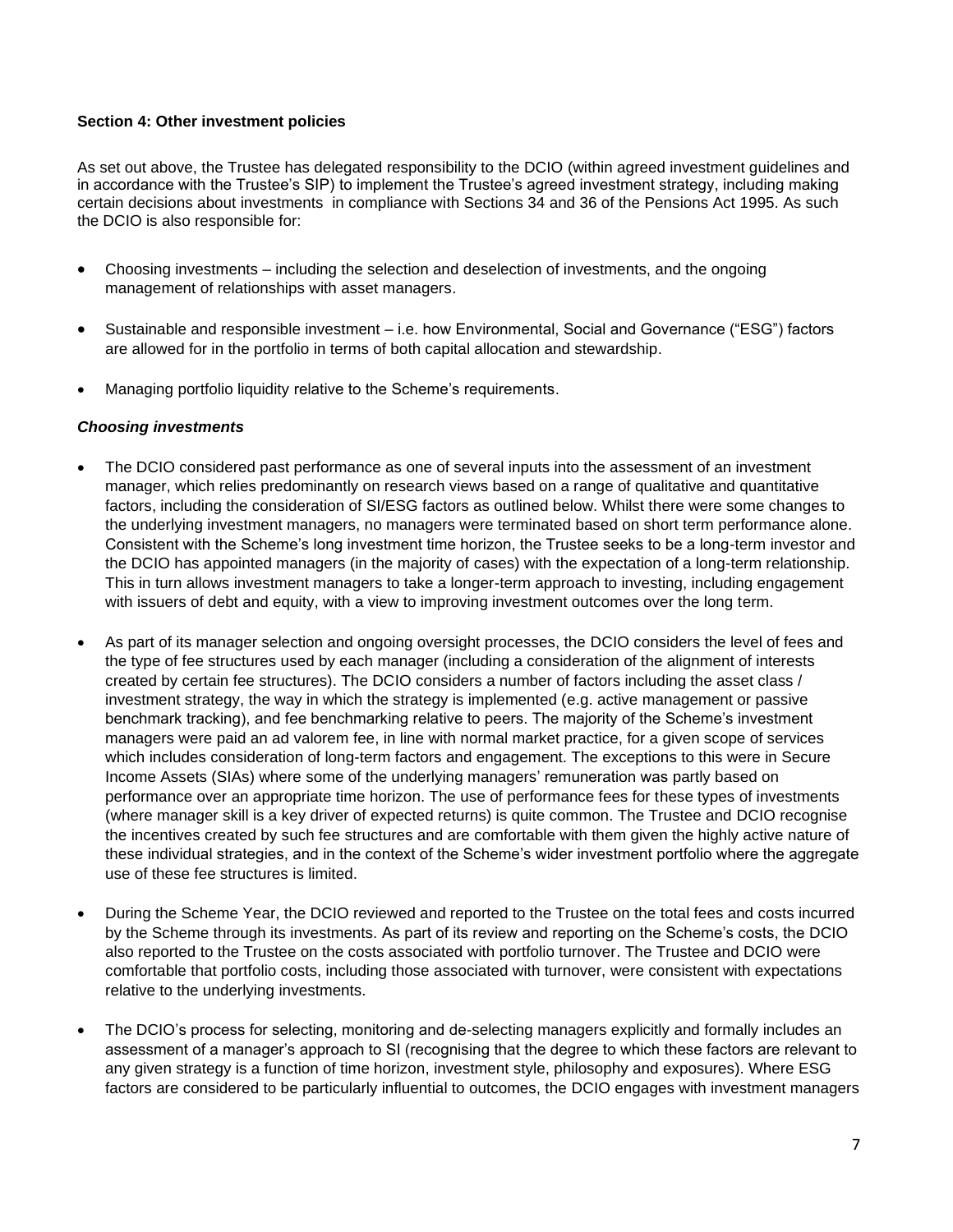#### **Section 4: Other investment policies**

As set out above, the Trustee has delegated responsibility to the DCIO (within agreed investment guidelines and in accordance with the Trustee's SIP) to implement the Trustee's agreed investment strategy, including making certain decisions about investments in compliance with Sections 34 and 36 of the Pensions Act 1995. As such the DCIO is also responsible for:

- Choosing investments including the selection and deselection of investments, and the ongoing management of relationships with asset managers.
- Sustainable and responsible investment i.e. how Environmental, Social and Governance ("ESG") factors are allowed for in the portfolio in terms of both capital allocation and stewardship.
- Managing portfolio liquidity relative to the Scheme's requirements.

#### *Choosing investments*

- The DCIO considered past performance as one of several inputs into the assessment of an investment manager, which relies predominantly on research views based on a range of qualitative and quantitative factors, including the consideration of SI/ESG factors as outlined below. Whilst there were some changes to the underlying investment managers, no managers were terminated based on short term performance alone. Consistent with the Scheme's long investment time horizon, the Trustee seeks to be a long-term investor and the DCIO has appointed managers (in the majority of cases) with the expectation of a long-term relationship. This in turn allows investment managers to take a longer-term approach to investing, including engagement with issuers of debt and equity, with a view to improving investment outcomes over the long term.
- As part of its manager selection and ongoing oversight processes, the DCIO considers the level of fees and the type of fee structures used by each manager (including a consideration of the alignment of interests created by certain fee structures). The DCIO considers a number of factors including the asset class / investment strategy, the way in which the strategy is implemented (e.g. active management or passive benchmark tracking), and fee benchmarking relative to peers. The majority of the Scheme's investment managers were paid an ad valorem fee, in line with normal market practice, for a given scope of services which includes consideration of long-term factors and engagement. The exceptions to this were in Secure Income Assets (SIAs) where some of the underlying managers' remuneration was partly based on performance over an appropriate time horizon. The use of performance fees for these types of investments (where manager skill is a key driver of expected returns) is quite common. The Trustee and DCIO recognise the incentives created by such fee structures and are comfortable with them given the highly active nature of these individual strategies, and in the context of the Scheme's wider investment portfolio where the aggregate use of these fee structures is limited.
- During the Scheme Year, the DCIO reviewed and reported to the Trustee on the total fees and costs incurred by the Scheme through its investments. As part of its review and reporting on the Scheme's costs, the DCIO also reported to the Trustee on the costs associated with portfolio turnover. The Trustee and DCIO were comfortable that portfolio costs, including those associated with turnover, were consistent with expectations relative to the underlying investments.
- The DCIO's process for selecting, monitoring and de-selecting managers explicitly and formally includes an assessment of a manager's approach to SI (recognising that the degree to which these factors are relevant to any given strategy is a function of time horizon, investment style, philosophy and exposures). Where ESG factors are considered to be particularly influential to outcomes, the DCIO engages with investment managers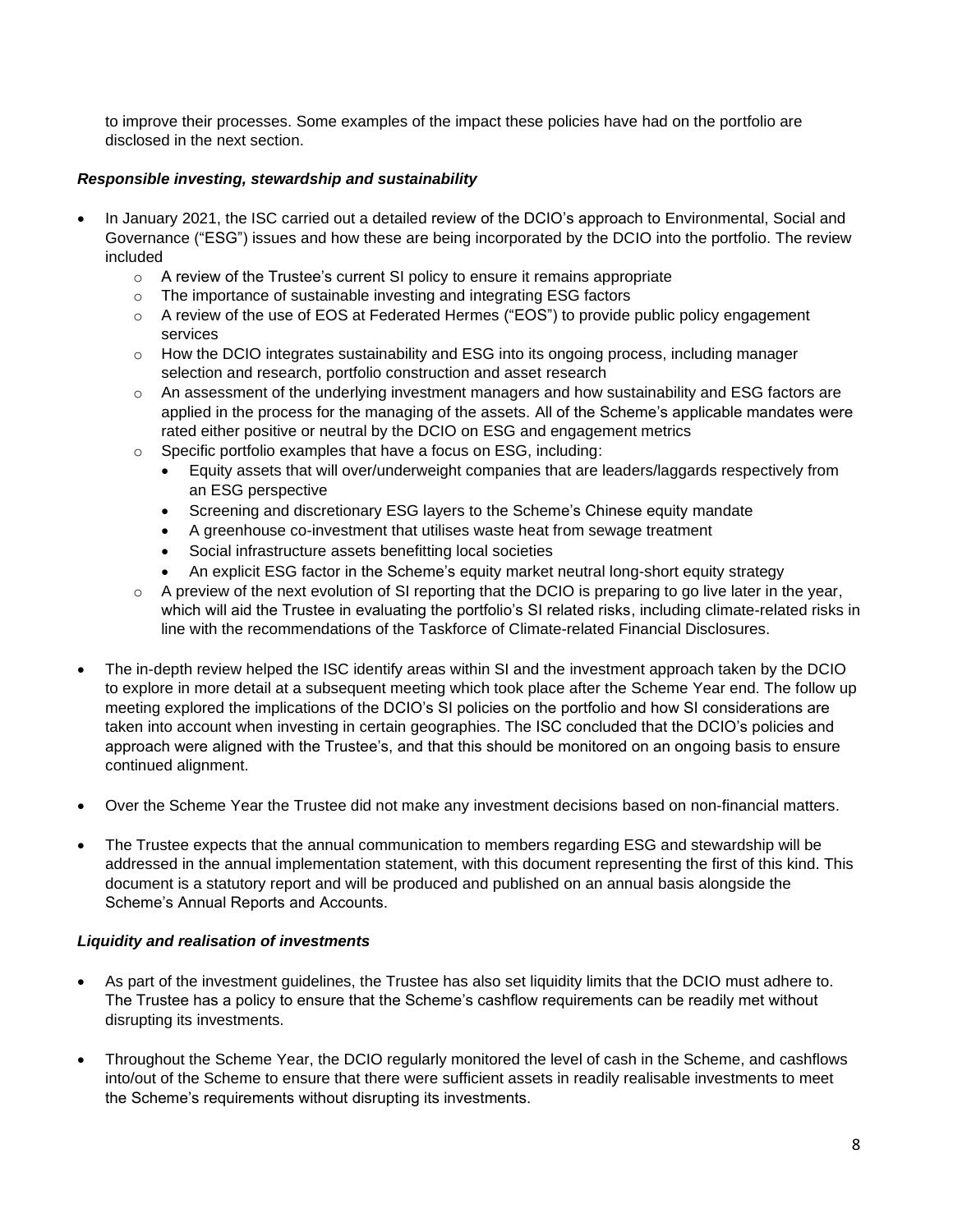to improve their processes. Some examples of the impact these policies have had on the portfolio are disclosed in the next section.

### *Responsible investing, stewardship and sustainability*

- In January 2021, the ISC carried out a detailed review of the DCIO's approach to Environmental, Social and Governance ("ESG") issues and how these are being incorporated by the DCIO into the portfolio. The review included
	- o A review of the Trustee's current SI policy to ensure it remains appropriate
	- o The importance of sustainable investing and integrating ESG factors
	- $\circ$  A review of the use of EOS at Federated Hermes ("EOS") to provide public policy engagement services
	- $\circ$  How the DCIO integrates sustainability and ESG into its ongoing process, including manager selection and research, portfolio construction and asset research
	- o An assessment of the underlying investment managers and how sustainability and ESG factors are applied in the process for the managing of the assets. All of the Scheme's applicable mandates were rated either positive or neutral by the DCIO on ESG and engagement metrics
	- o Specific portfolio examples that have a focus on ESG, including:
		- Equity assets that will over/underweight companies that are leaders/laggards respectively from an ESG perspective
		- Screening and discretionary ESG layers to the Scheme's Chinese equity mandate
		- A greenhouse co-investment that utilises waste heat from sewage treatment
		- Social infrastructure assets benefitting local societies
		- An explicit ESG factor in the Scheme's equity market neutral long-short equity strategy
	- o A preview of the next evolution of SI reporting that the DCIO is preparing to go live later in the year, which will aid the Trustee in evaluating the portfolio's SI related risks, including climate-related risks in line with the recommendations of the Taskforce of Climate-related Financial Disclosures.
- The in-depth review helped the ISC identify areas within SI and the investment approach taken by the DCIO to explore in more detail at a subsequent meeting which took place after the Scheme Year end. The follow up meeting explored the implications of the DCIO's SI policies on the portfolio and how SI considerations are taken into account when investing in certain geographies. The ISC concluded that the DCIO's policies and approach were aligned with the Trustee's, and that this should be monitored on an ongoing basis to ensure continued alignment.
- Over the Scheme Year the Trustee did not make any investment decisions based on non-financial matters.
- The Trustee expects that the annual communication to members regarding ESG and stewardship will be addressed in the annual implementation statement, with this document representing the first of this kind. This document is a statutory report and will be produced and published on an annual basis alongside the Scheme's Annual Reports and Accounts.

#### *Liquidity and realisation of investments*

- As part of the investment guidelines, the Trustee has also set liquidity limits that the DCIO must adhere to. The Trustee has a policy to ensure that the Scheme's cashflow requirements can be readily met without disrupting its investments.
- Throughout the Scheme Year, the DCIO regularly monitored the level of cash in the Scheme, and cashflows into/out of the Scheme to ensure that there were sufficient assets in readily realisable investments to meet the Scheme's requirements without disrupting its investments.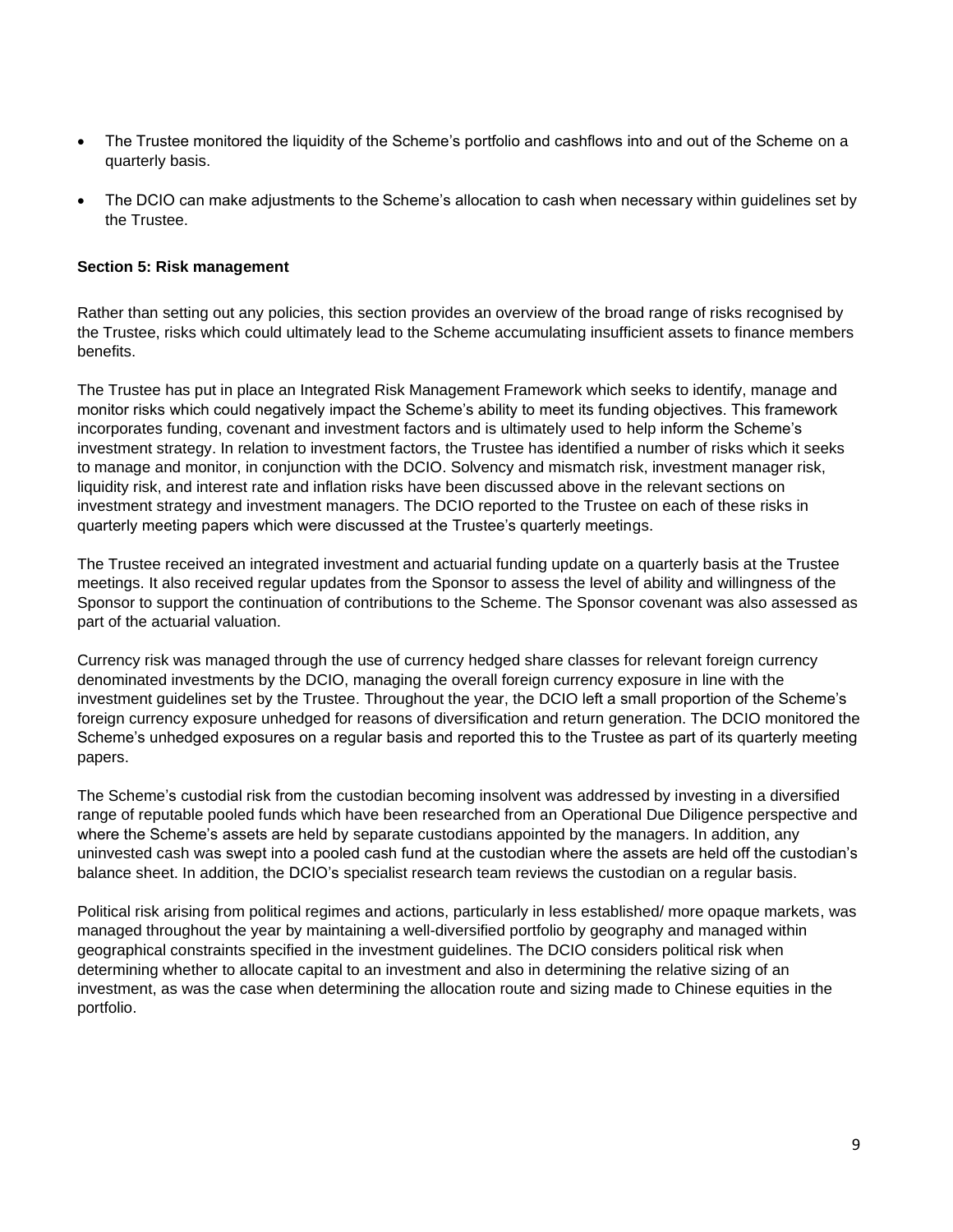- The Trustee monitored the liquidity of the Scheme's portfolio and cashflows into and out of the Scheme on a quarterly basis.
- The DCIO can make adjustments to the Scheme's allocation to cash when necessary within guidelines set by the Trustee.

#### **Section 5: Risk management**

Rather than setting out any policies, this section provides an overview of the broad range of risks recognised by the Trustee, risks which could ultimately lead to the Scheme accumulating insufficient assets to finance members benefits.

The Trustee has put in place an Integrated Risk Management Framework which seeks to identify, manage and monitor risks which could negatively impact the Scheme's ability to meet its funding objectives. This framework incorporates funding, covenant and investment factors and is ultimately used to help inform the Scheme's investment strategy. In relation to investment factors, the Trustee has identified a number of risks which it seeks to manage and monitor, in conjunction with the DCIO. Solvency and mismatch risk, investment manager risk, liquidity risk, and interest rate and inflation risks have been discussed above in the relevant sections on investment strategy and investment managers. The DCIO reported to the Trustee on each of these risks in quarterly meeting papers which were discussed at the Trustee's quarterly meetings.

The Trustee received an integrated investment and actuarial funding update on a quarterly basis at the Trustee meetings. It also received regular updates from the Sponsor to assess the level of ability and willingness of the Sponsor to support the continuation of contributions to the Scheme. The Sponsor covenant was also assessed as part of the actuarial valuation.

Currency risk was managed through the use of currency hedged share classes for relevant foreign currency denominated investments by the DCIO, managing the overall foreign currency exposure in line with the investment guidelines set by the Trustee. Throughout the year, the DCIO left a small proportion of the Scheme's foreign currency exposure unhedged for reasons of diversification and return generation. The DCIO monitored the Scheme's unhedged exposures on a regular basis and reported this to the Trustee as part of its quarterly meeting papers.

The Scheme's custodial risk from the custodian becoming insolvent was addressed by investing in a diversified range of reputable pooled funds which have been researched from an Operational Due Diligence perspective and where the Scheme's assets are held by separate custodians appointed by the managers. In addition, any uninvested cash was swept into a pooled cash fund at the custodian where the assets are held off the custodian's balance sheet. In addition, the DCIO's specialist research team reviews the custodian on a regular basis.

Political risk arising from political regimes and actions, particularly in less established/ more opaque markets, was managed throughout the year by maintaining a well-diversified portfolio by geography and managed within geographical constraints specified in the investment guidelines. The DCIO considers political risk when determining whether to allocate capital to an investment and also in determining the relative sizing of an investment, as was the case when determining the allocation route and sizing made to Chinese equities in the portfolio.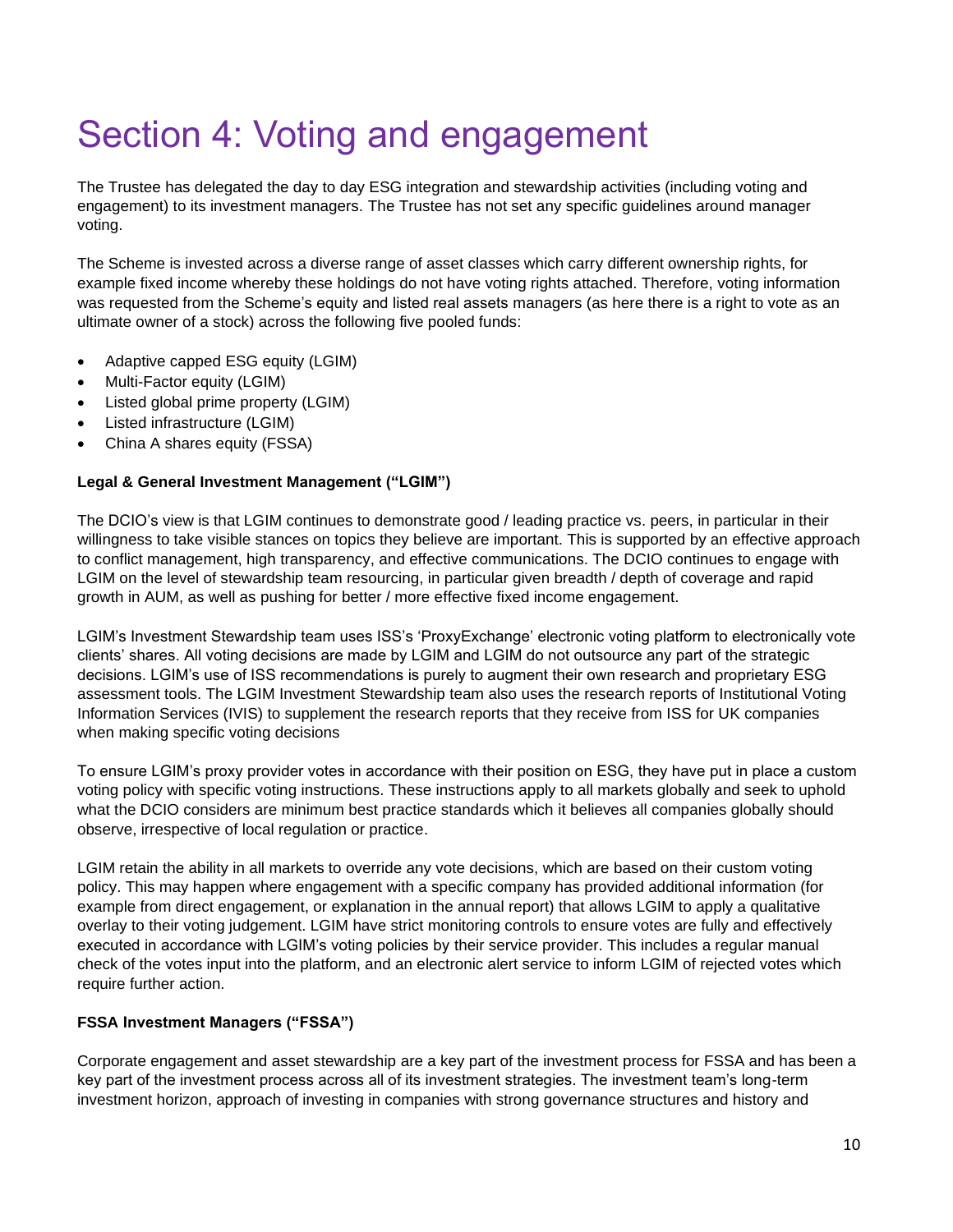# Section 4: Voting and engagement

The Trustee has delegated the day to day ESG integration and stewardship activities (including voting and engagement) to its investment managers. The Trustee has not set any specific guidelines around manager voting.

The Scheme is invested across a diverse range of asset classes which carry different ownership rights, for example fixed income whereby these holdings do not have voting rights attached. Therefore, voting information was requested from the Scheme's equity and listed real assets managers (as here there is a right to vote as an ultimate owner of a stock) across the following five pooled funds:

- Adaptive capped ESG equity (LGIM)
- Multi-Factor equity (LGIM)
- Listed global prime property (LGIM)
- Listed infrastructure (LGIM)
- China A shares equity (FSSA)

### **Legal & General Investment Management ("LGIM")**

The DCIO's view is that LGIM continues to demonstrate good / leading practice vs. peers, in particular in their willingness to take visible stances on topics they believe are important. This is supported by an effective approach to conflict management, high transparency, and effective communications. The DCIO continues to engage with LGIM on the level of stewardship team resourcing, in particular given breadth / depth of coverage and rapid growth in AUM, as well as pushing for better / more effective fixed income engagement.

LGIM's Investment Stewardship team uses ISS's 'ProxyExchange' electronic voting platform to electronically vote clients' shares. All voting decisions are made by LGIM and LGIM do not outsource any part of the strategic decisions. LGIM's use of ISS recommendations is purely to augment their own research and proprietary ESG assessment tools. The LGIM Investment Stewardship team also uses the research reports of Institutional Voting Information Services (IVIS) to supplement the research reports that they receive from ISS for UK companies when making specific voting decisions

To ensure LGIM's proxy provider votes in accordance with their position on ESG, they have put in place a custom voting policy with specific voting instructions. These instructions apply to all markets globally and seek to uphold what the DCIO considers are minimum best practice standards which it believes all companies globally should observe, irrespective of local regulation or practice.

LGIM retain the ability in all markets to override any vote decisions, which are based on their custom voting policy. This may happen where engagement with a specific company has provided additional information (for example from direct engagement, or explanation in the annual report) that allows LGIM to apply a qualitative overlay to their voting judgement. LGIM have strict monitoring controls to ensure votes are fully and effectively executed in accordance with LGIM's voting policies by their service provider. This includes a regular manual check of the votes input into the platform, and an electronic alert service to inform LGIM of rejected votes which require further action.

## **FSSA Investment Managers ("FSSA")**

Corporate engagement and asset stewardship are a key part of the investment process for FSSA and has been a key part of the investment process across all of its investment strategies. The investment team's long-term investment horizon, approach of investing in companies with strong governance structures and history and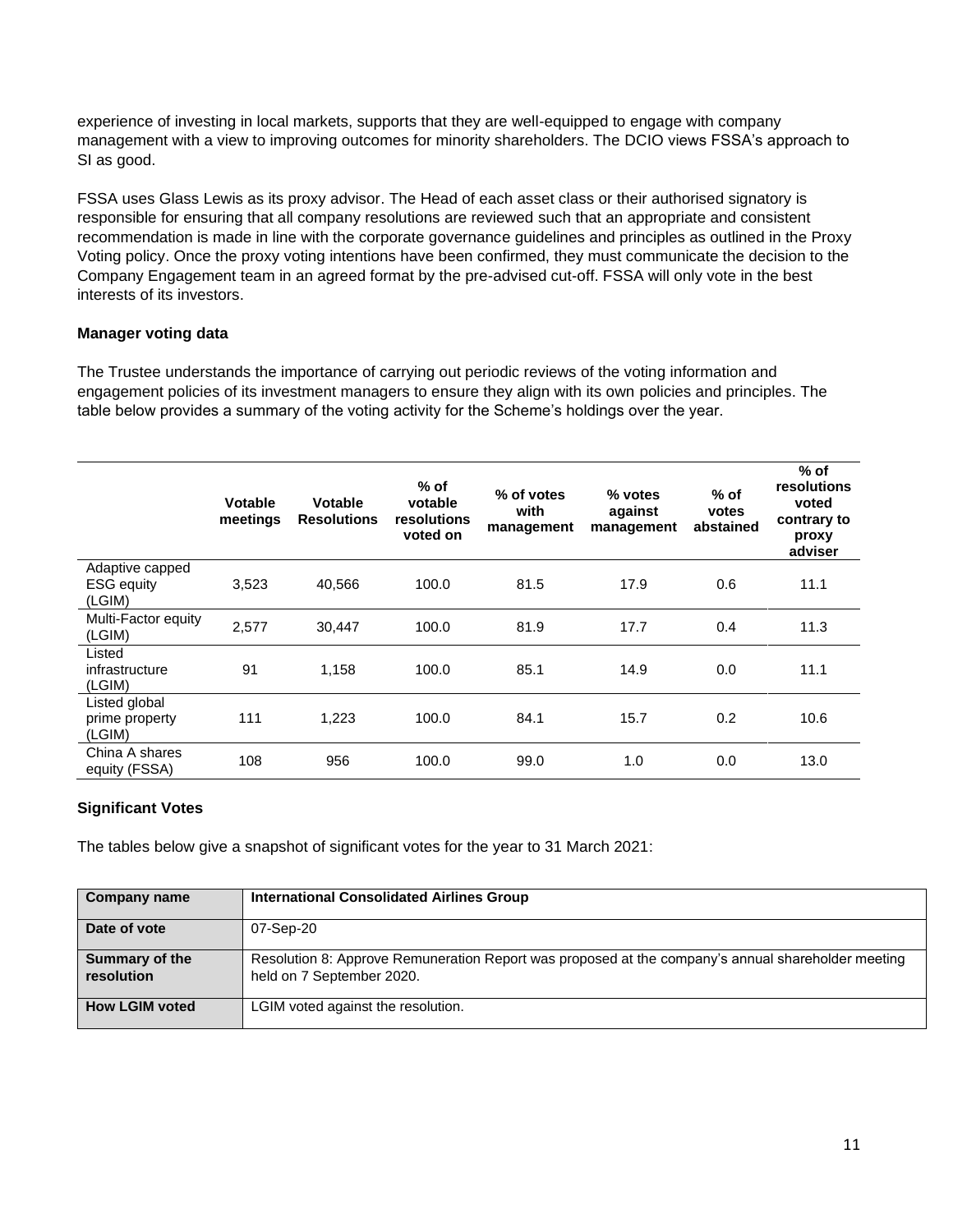experience of investing in local markets, supports that they are well-equipped to engage with company management with a view to improving outcomes for minority shareholders. The DCIO views FSSA's approach to SI as good.

FSSA uses Glass Lewis as its proxy advisor. The Head of each asset class or their authorised signatory is responsible for ensuring that all company resolutions are reviewed such that an appropriate and consistent recommendation is made in line with the corporate governance guidelines and principles as outlined in the Proxy Voting policy. Once the proxy voting intentions have been confirmed, they must communicate the decision to the Company Engagement team in an agreed format by the pre-advised cut-off. FSSA will only vote in the best interests of its investors.

### **Manager voting data**

The Trustee understands the importance of carrying out periodic reviews of the voting information and engagement policies of its investment managers to ensure they align with its own policies and principles. The table below provides a summary of the voting activity for the Scheme's holdings over the year.

|                                                | <b>Votable</b><br>meetings | <b>Votable</b><br><b>Resolutions</b> | % of<br>votable<br>resolutions<br>voted on | % of votes<br>with<br>management | $%$ votes<br>against<br>management | $%$ of<br>votes<br>abstained | $%$ of<br>resolutions<br>voted<br>contrary to<br>proxy<br>adviser |
|------------------------------------------------|----------------------------|--------------------------------------|--------------------------------------------|----------------------------------|------------------------------------|------------------------------|-------------------------------------------------------------------|
| Adaptive capped<br><b>ESG</b> equity<br>(LGIM) | 3,523                      | 40,566                               | 100.0                                      | 81.5                             | 17.9                               | 0.6                          | 11.1                                                              |
| Multi-Factor equity<br>(LGIM)                  | 2,577                      | 30,447                               | 100.0                                      | 81.9                             | 17.7                               | 0.4                          | 11.3                                                              |
| Listed<br>infrastructure<br>(LGIM)             | 91                         | 1,158                                | 100.0                                      | 85.1                             | 14.9                               | 0.0                          | 11.1                                                              |
| Listed global<br>prime property<br>(LGIM)      | 111                        | 1,223                                | 100.0                                      | 84.1                             | 15.7                               | 0.2                          | 10.6                                                              |
| China A shares<br>equity (FSSA)                | 108                        | 956                                  | 100.0                                      | 99.0                             | 1.0                                | 0.0                          | 13.0                                                              |

## **Significant Votes**

The tables below give a snapshot of significant votes for the year to 31 March 2021:

| <b>Company name</b>          | <b>International Consolidated Airlines Group</b>                                                                                |
|------------------------------|---------------------------------------------------------------------------------------------------------------------------------|
| Date of vote                 | 07-Sep-20                                                                                                                       |
| Summary of the<br>resolution | Resolution 8: Approve Remuneration Report was proposed at the company's annual shareholder meeting<br>held on 7 September 2020. |
| <b>How LGIM voted</b>        | LGIM voted against the resolution.                                                                                              |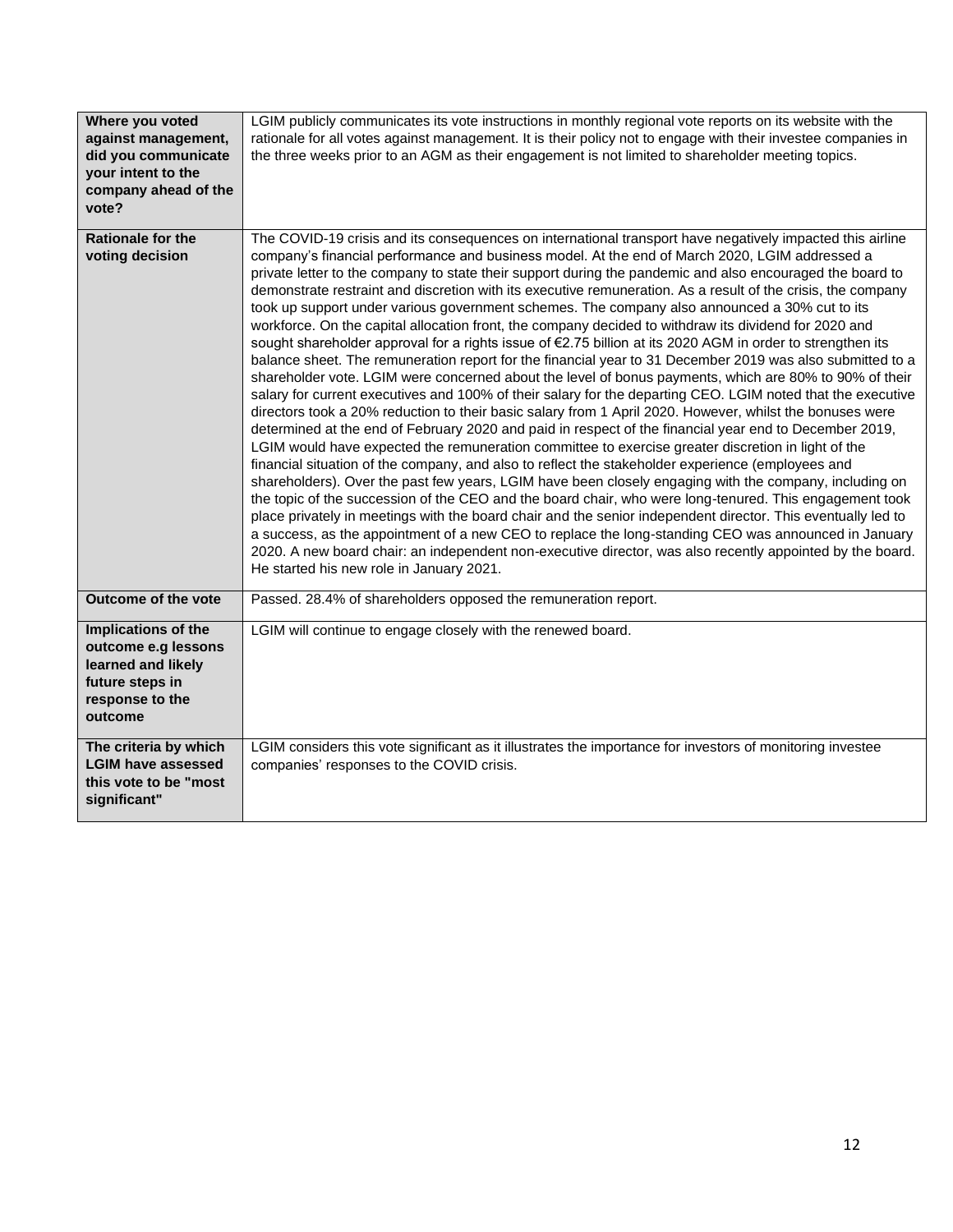| Where you voted<br>against management,<br>did you communicate<br>your intent to the<br>company ahead of the<br>vote? | LGIM publicly communicates its vote instructions in monthly regional vote reports on its website with the<br>rationale for all votes against management. It is their policy not to engage with their investee companies in<br>the three weeks prior to an AGM as their engagement is not limited to shareholder meeting topics.                                                                                                                                                                                                                                                                                                                                                                                                                                                                                                                                                                                                                                                                                                                                                                                                                                                                                                                                                                                                                                                                                                                                                                                                                                                                                                                                                                                                                                                                                                                                                                                                                                                                                                                                                                                                               |
|----------------------------------------------------------------------------------------------------------------------|-----------------------------------------------------------------------------------------------------------------------------------------------------------------------------------------------------------------------------------------------------------------------------------------------------------------------------------------------------------------------------------------------------------------------------------------------------------------------------------------------------------------------------------------------------------------------------------------------------------------------------------------------------------------------------------------------------------------------------------------------------------------------------------------------------------------------------------------------------------------------------------------------------------------------------------------------------------------------------------------------------------------------------------------------------------------------------------------------------------------------------------------------------------------------------------------------------------------------------------------------------------------------------------------------------------------------------------------------------------------------------------------------------------------------------------------------------------------------------------------------------------------------------------------------------------------------------------------------------------------------------------------------------------------------------------------------------------------------------------------------------------------------------------------------------------------------------------------------------------------------------------------------------------------------------------------------------------------------------------------------------------------------------------------------------------------------------------------------------------------------------------------------|
| <b>Rationale for the</b><br>voting decision                                                                          | The COVID-19 crisis and its consequences on international transport have negatively impacted this airline<br>company's financial performance and business model. At the end of March 2020, LGIM addressed a<br>private letter to the company to state their support during the pandemic and also encouraged the board to<br>demonstrate restraint and discretion with its executive remuneration. As a result of the crisis, the company<br>took up support under various government schemes. The company also announced a 30% cut to its<br>workforce. On the capital allocation front, the company decided to withdraw its dividend for 2020 and<br>sought shareholder approval for a rights issue of €2.75 billion at its 2020 AGM in order to strengthen its<br>balance sheet. The remuneration report for the financial year to 31 December 2019 was also submitted to a<br>shareholder vote. LGIM were concerned about the level of bonus payments, which are 80% to 90% of their<br>salary for current executives and 100% of their salary for the departing CEO. LGIM noted that the executive<br>directors took a 20% reduction to their basic salary from 1 April 2020. However, whilst the bonuses were<br>determined at the end of February 2020 and paid in respect of the financial year end to December 2019,<br>LGIM would have expected the remuneration committee to exercise greater discretion in light of the<br>financial situation of the company, and also to reflect the stakeholder experience (employees and<br>shareholders). Over the past few years, LGIM have been closely engaging with the company, including on<br>the topic of the succession of the CEO and the board chair, who were long-tenured. This engagement took<br>place privately in meetings with the board chair and the senior independent director. This eventually led to<br>a success, as the appointment of a new CEO to replace the long-standing CEO was announced in January<br>2020. A new board chair: an independent non-executive director, was also recently appointed by the board.<br>He started his new role in January 2021. |
| Outcome of the vote                                                                                                  | Passed. 28.4% of shareholders opposed the remuneration report.                                                                                                                                                                                                                                                                                                                                                                                                                                                                                                                                                                                                                                                                                                                                                                                                                                                                                                                                                                                                                                                                                                                                                                                                                                                                                                                                                                                                                                                                                                                                                                                                                                                                                                                                                                                                                                                                                                                                                                                                                                                                                |
| Implications of the<br>outcome e.g lessons<br>learned and likely<br>future steps in<br>response to the<br>outcome    | LGIM will continue to engage closely with the renewed board.                                                                                                                                                                                                                                                                                                                                                                                                                                                                                                                                                                                                                                                                                                                                                                                                                                                                                                                                                                                                                                                                                                                                                                                                                                                                                                                                                                                                                                                                                                                                                                                                                                                                                                                                                                                                                                                                                                                                                                                                                                                                                  |
| The criteria by which<br><b>LGIM have assessed</b><br>this vote to be "most<br>significant"                          | LGIM considers this vote significant as it illustrates the importance for investors of monitoring investee<br>companies' responses to the COVID crisis.                                                                                                                                                                                                                                                                                                                                                                                                                                                                                                                                                                                                                                                                                                                                                                                                                                                                                                                                                                                                                                                                                                                                                                                                                                                                                                                                                                                                                                                                                                                                                                                                                                                                                                                                                                                                                                                                                                                                                                                       |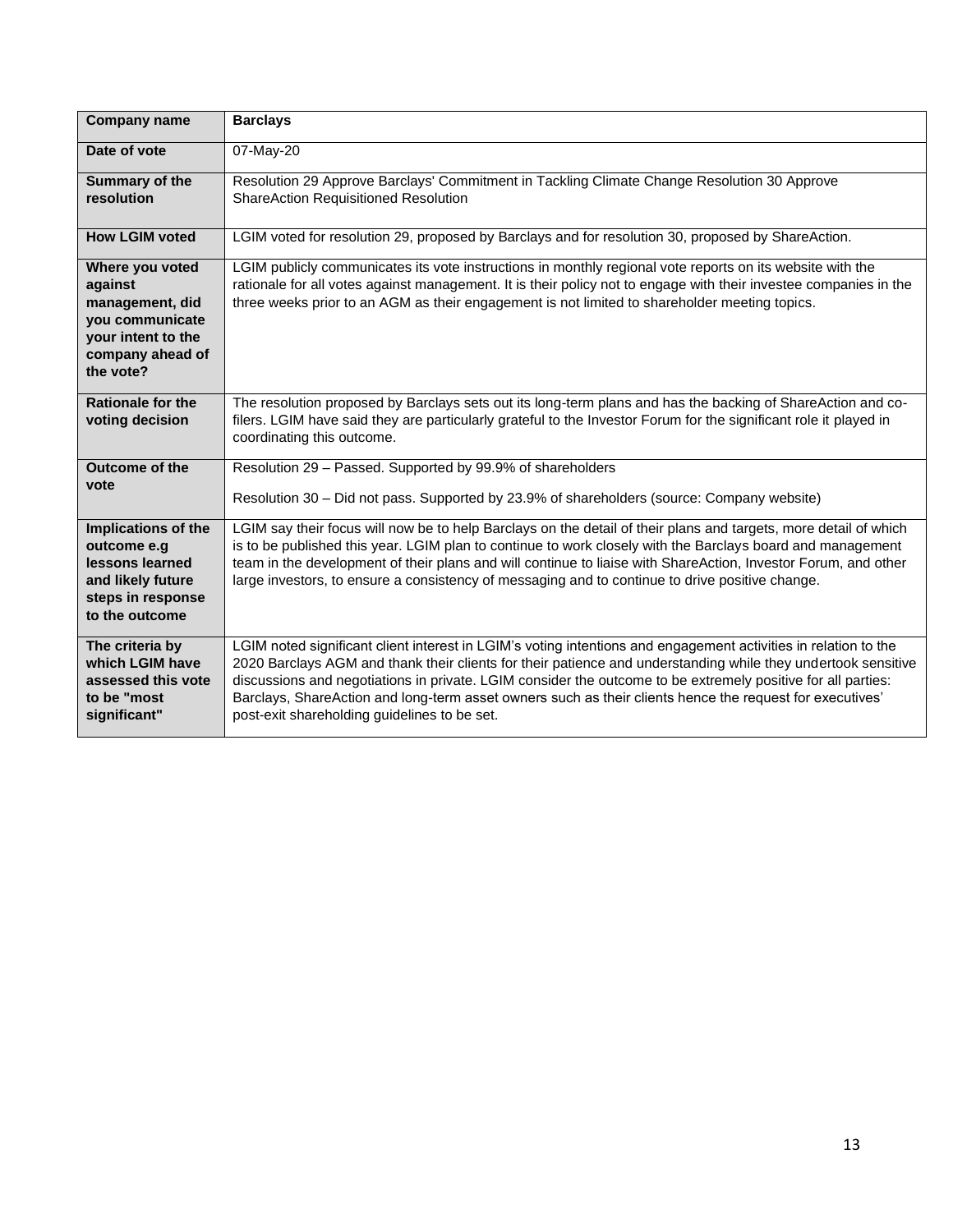| <b>Company name</b>                                                                                                     | <b>Barclays</b>                                                                                                                                                                                                                                                                                                                                                                                                                                                                                              |
|-------------------------------------------------------------------------------------------------------------------------|--------------------------------------------------------------------------------------------------------------------------------------------------------------------------------------------------------------------------------------------------------------------------------------------------------------------------------------------------------------------------------------------------------------------------------------------------------------------------------------------------------------|
| Date of vote                                                                                                            | 07-May-20                                                                                                                                                                                                                                                                                                                                                                                                                                                                                                    |
| Summary of the<br>resolution                                                                                            | Resolution 29 Approve Barclays' Commitment in Tackling Climate Change Resolution 30 Approve<br><b>ShareAction Requisitioned Resolution</b>                                                                                                                                                                                                                                                                                                                                                                   |
| <b>How LGIM voted</b>                                                                                                   | LGIM voted for resolution 29, proposed by Barclays and for resolution 30, proposed by ShareAction.                                                                                                                                                                                                                                                                                                                                                                                                           |
| Where you voted<br>against<br>management, did<br>you communicate<br>your intent to the<br>company ahead of<br>the vote? | LGIM publicly communicates its vote instructions in monthly regional vote reports on its website with the<br>rationale for all votes against management. It is their policy not to engage with their investee companies in the<br>three weeks prior to an AGM as their engagement is not limited to shareholder meeting topics.                                                                                                                                                                              |
| <b>Rationale for the</b><br>voting decision                                                                             | The resolution proposed by Barclays sets out its long-term plans and has the backing of ShareAction and co-<br>filers. LGIM have said they are particularly grateful to the Investor Forum for the significant role it played in<br>coordinating this outcome.                                                                                                                                                                                                                                               |
| Outcome of the<br>vote                                                                                                  | Resolution 29 - Passed. Supported by 99.9% of shareholders<br>Resolution 30 - Did not pass. Supported by 23.9% of shareholders (source: Company website)                                                                                                                                                                                                                                                                                                                                                     |
| Implications of the<br>outcome e.g<br>lessons learned<br>and likely future<br>steps in response<br>to the outcome       | LGIM say their focus will now be to help Barclays on the detail of their plans and targets, more detail of which<br>is to be published this year. LGIM plan to continue to work closely with the Barclays board and management<br>team in the development of their plans and will continue to liaise with ShareAction, Investor Forum, and other<br>large investors, to ensure a consistency of messaging and to continue to drive positive change.                                                          |
| The criteria by<br>which LGIM have<br>assessed this vote<br>to be "most<br>significant"                                 | LGIM noted significant client interest in LGIM's voting intentions and engagement activities in relation to the<br>2020 Barclays AGM and thank their clients for their patience and understanding while they undertook sensitive<br>discussions and negotiations in private. LGIM consider the outcome to be extremely positive for all parties:<br>Barclays, ShareAction and long-term asset owners such as their clients hence the request for executives'<br>post-exit shareholding guidelines to be set. |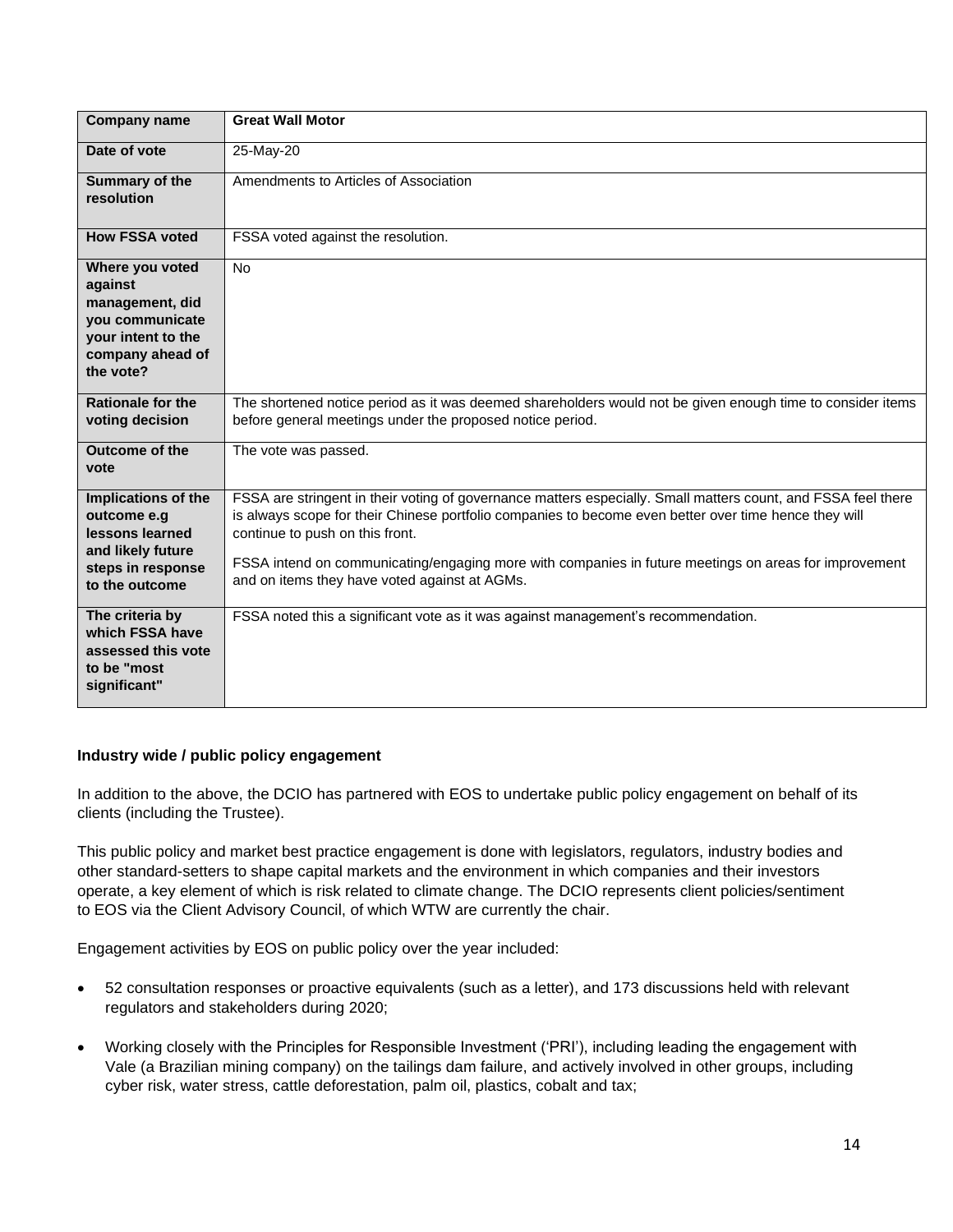| <b>Company name</b>                                                                                                     | <b>Great Wall Motor</b>                                                                                                                                                                                                                                                                                                                                                                                             |
|-------------------------------------------------------------------------------------------------------------------------|---------------------------------------------------------------------------------------------------------------------------------------------------------------------------------------------------------------------------------------------------------------------------------------------------------------------------------------------------------------------------------------------------------------------|
| Date of vote                                                                                                            | 25-May-20                                                                                                                                                                                                                                                                                                                                                                                                           |
| Summary of the<br>resolution                                                                                            | Amendments to Articles of Association                                                                                                                                                                                                                                                                                                                                                                               |
| <b>How FSSA voted</b>                                                                                                   | FSSA voted against the resolution.                                                                                                                                                                                                                                                                                                                                                                                  |
| Where you voted<br>against<br>management, did<br>you communicate<br>your intent to the<br>company ahead of<br>the vote? | <b>No</b>                                                                                                                                                                                                                                                                                                                                                                                                           |
| <b>Rationale for the</b><br>voting decision                                                                             | The shortened notice period as it was deemed shareholders would not be given enough time to consider items<br>before general meetings under the proposed notice period.                                                                                                                                                                                                                                             |
| <b>Outcome of the</b><br>vote                                                                                           | The vote was passed.                                                                                                                                                                                                                                                                                                                                                                                                |
| Implications of the<br>outcome e.g<br>lessons learned<br>and likely future<br>steps in response<br>to the outcome       | FSSA are stringent in their voting of governance matters especially. Small matters count, and FSSA feel there<br>is always scope for their Chinese portfolio companies to become even better over time hence they will<br>continue to push on this front.<br>FSSA intend on communicating/engaging more with companies in future meetings on areas for improvement<br>and on items they have voted against at AGMs. |
| The criteria by<br>which FSSA have<br>assessed this vote<br>to be "most<br>significant"                                 | FSSA noted this a significant vote as it was against management's recommendation.                                                                                                                                                                                                                                                                                                                                   |

#### **Industry wide / public policy engagement**

In addition to the above, the DCIO has partnered with EOS to undertake public policy engagement on behalf of its clients (including the Trustee).

This public policy and market best practice engagement is done with legislators, regulators, industry bodies and other standard-setters to shape capital markets and the environment in which companies and their investors operate, a key element of which is risk related to climate change. The DCIO represents client policies/sentiment to EOS via the Client Advisory Council, of which WTW are currently the chair.

Engagement activities by EOS on public policy over the year included:

- 52 consultation responses or proactive equivalents (such as a letter), and 173 discussions held with relevant regulators and stakeholders during 2020;
- Working closely with the Principles for Responsible Investment ('PRI'), including leading the engagement with Vale (a Brazilian mining company) on the tailings dam failure, and actively involved in other groups, including cyber risk, water stress, cattle deforestation, palm oil, plastics, cobalt and tax;